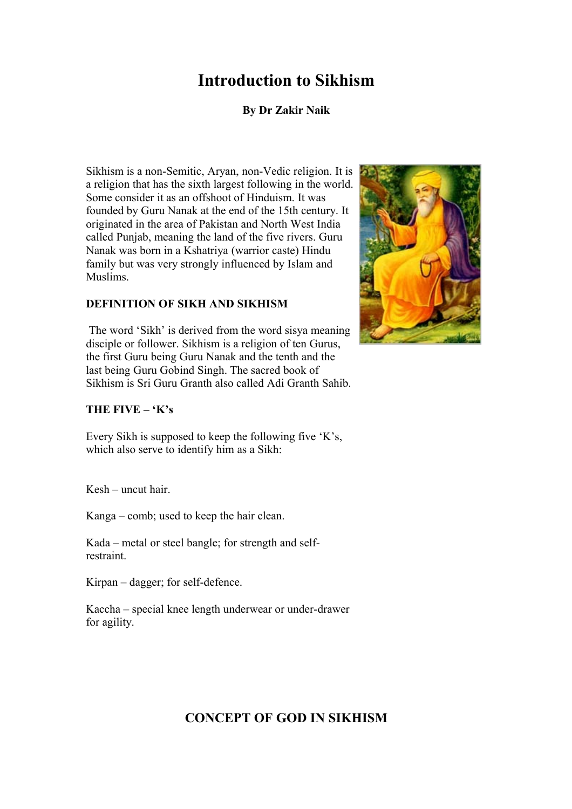# **Introduction to Sikhism**

## **By Dr Zakir Naik**

Sikhism is a non-Semitic, Aryan, non-Vedic religion. It is a religion that has the sixth largest following in the world. Some consider it as an offshoot of Hinduism. It was founded by Guru Nanak at the end of the 15th century. It originated in the area of Pakistan and North West India called Punjab, meaning the land of the five rivers. Guru Nanak was born in a Kshatriya (warrior caste) Hindu family but was very strongly influenced by Islam and Muslims.

#### **DEFINITION OF SIKH AND SIKHISM**

The word 'Sikh' is derived from the word sisya meaning disciple or follower. Sikhism is a religion of ten Gurus, the first Guru being Guru Nanak and the tenth and the last being Guru Gobind Singh. The sacred book of Sikhism is Sri Guru Granth also called Adi Granth Sahib.



### **THE FIVE – 'K's**

Every Sikh is supposed to keep the following five 'K's, which also serve to identify him as a Sikh:

Kesh – uncut hair.

Kanga – comb; used to keep the hair clean.

Kada – metal or steel bangle; for strength and selfrestraint.

Kirpan – dagger; for self-defence.

Kaccha – special knee length underwear or under-drawer for agility.

# **CONCEPT OF GOD IN SIKHISM**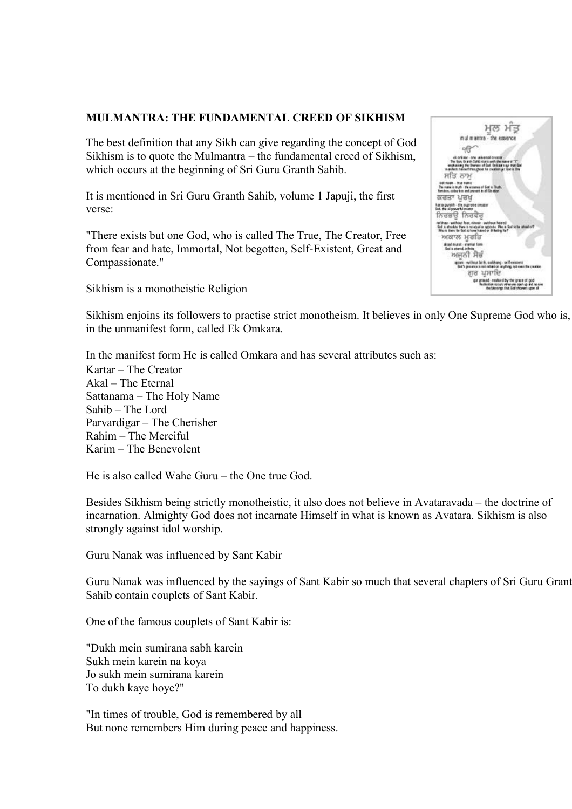#### **MULMANTRA: THE FUNDAMENTAL CREED OF SIKHISM**

The best definition that any Sikh can give regarding the concept of God Sikhism is to quote the Mulmantra – the fundamental creed of Sikhism, which occurs at the beginning of Sri Guru Granth Sahib.

It is mentioned in Sri Guru Granth Sahib, volume 1 Japuji, the first verse:

"There exists but one God, who is called The True, The Creator, Free from fear and hate, Immortal, Not begotten, Self-Existent, Great and Compassionate."

Sikhism is a monotheistic Religion



Sikhism enjoins its followers to practise strict monotheism. It believes in only One Supreme God who is, in the unmanifest form, called Ek Omkara.

In the manifest form He is called Omkara and has several attributes such as: Kartar – The Creator Akal – The Eternal Sattanama – The Holy Name Sahib – The Lord Parvardigar – The Cherisher Rahim – The Merciful Karim – The Benevolent

He is also called Wahe Guru – the One true God.

Besides Sikhism being strictly monotheistic, it also does not believe in Avataravada – the doctrine of incarnation. Almighty God does not incarnate Himself in what is known as Avatara. Sikhism is also strongly against idol worship.

Guru Nanak was influenced by Sant Kabir

Guru Nanak was influenced by the sayings of Sant Kabir so much that several chapters of Sri Guru Granth Sahib contain couplets of Sant Kabir.

One of the famous couplets of Sant Kabir is:

"Dukh mein sumirana sabh karein Sukh mein karein na koya Jo sukh mein sumirana karein To dukh kaye hoye?"

"In times of trouble, God is remembered by all But none remembers Him during peace and happiness.